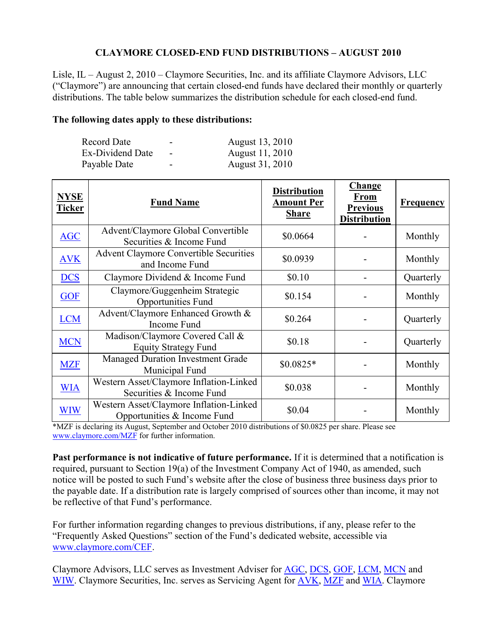## **CLAYMORE CLOSED-END FUND DISTRIBUTIONS – AUGUST 2010**

Lisle, IL – August 2, 2010 – Claymore Securities, Inc. and its affiliate Claymore Advisors, LLC ("Claymore") are announcing that certain closed-end funds have declared their monthly or quarterly distributions. The table below summarizes the distribution schedule for each closed-end fund.

## **The following dates apply to these distributions:**

| <b>Record Date</b>      | $\overline{\phantom{0}}$ | August 13, 2010 |
|-------------------------|--------------------------|-----------------|
| <b>Ex-Dividend Date</b> | $\blacksquare$           | August 11, 2010 |
| Payable Date            | $\overline{\phantom{0}}$ | August 31, 2010 |

| <b>NYSE</b><br><b>Ticker</b> | <b>Fund Name</b>                                                       | <b>Distribution</b><br><b>Amount Per</b><br><b>Share</b> | <b>Change</b><br><b>From</b><br><b>Previous</b><br><b>Distribution</b> | <b>Frequency</b> |
|------------------------------|------------------------------------------------------------------------|----------------------------------------------------------|------------------------------------------------------------------------|------------------|
| <b>AGC</b>                   | Advent/Claymore Global Convertible<br>Securities & Income Fund         | \$0.0664                                                 |                                                                        | Monthly          |
| <b>AVK</b>                   | <b>Advent Claymore Convertible Securities</b><br>and Income Fund       | \$0.0939                                                 |                                                                        | Monthly          |
| <b>DCS</b>                   | Claymore Dividend & Income Fund                                        | \$0.10                                                   |                                                                        | Quarterly        |
| <b>GOF</b>                   | Claymore/Guggenheim Strategic<br>Opportunities Fund                    | \$0.154                                                  |                                                                        | Monthly          |
| <b>LCM</b>                   | Advent/Claymore Enhanced Growth &<br><b>Income Fund</b>                | \$0.264                                                  |                                                                        | Quarterly        |
| <b>MCN</b>                   | Madison/Claymore Covered Call &<br><b>Equity Strategy Fund</b>         | \$0.18                                                   |                                                                        | Quarterly        |
| <b>MZF</b>                   | <b>Managed Duration Investment Grade</b><br>Municipal Fund             | $$0.0825*$                                               |                                                                        | Monthly          |
| <b>WIA</b>                   | Western Asset/Claymore Inflation-Linked<br>Securities & Income Fund    | \$0.038                                                  |                                                                        | Monthly          |
| <b>WIW</b>                   | Western Asset/Claymore Inflation-Linked<br>Opportunities & Income Fund | \$0.04                                                   |                                                                        | Monthly          |

\*MZF is declaring its August, September and October 2010 distributions of \$0.0825 per share. Please see www.claymore.com/MZF for further information.

**Past performance is not indicative of future performance.** If it is determined that a notification is required, pursuant to Section 19(a) of the Investment Company Act of 1940, as amended, such notice will be posted to such Fund's website after the close of business three business days prior to the payable date. If a distribution rate is largely comprised of sources other than income, it may not be reflective of that Fund's performance.

For further information regarding changes to previous distributions, if any, please refer to the "Frequently Asked Questions" section of the Fund's dedicated website, accessible via www.claymore.com/CEF.

Claymore Advisors, LLC serves as Investment Adviser for AGC, DCS, GOF, LCM, MCN and WIW. Claymore Securities, Inc. serves as Servicing Agent for AVK, MZF and WIA. Claymore